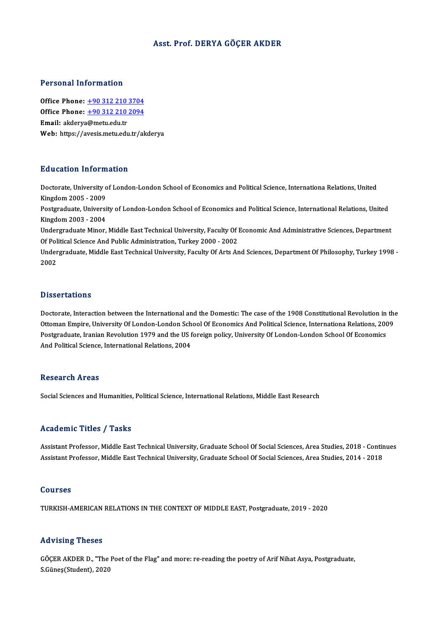## Asst. Prof. DERYA GÖÇER AKDER

## Personal Information

**Personal Information<br>Office Phone: +90 312 210 3704<br>Office Phone: +90 312 210 2004** Office Phone: <u>+90 312 210 3704</u><br>Office Phone: <u>+90 312 210 2094</u><br>Email: eldery@mety.edy.tr Office Phone: <u>+90 312 210</u><br>Office Phone: <u>+90 312 210</u><br>Email: akderya[@metu.edu.tr](tel:+90 312 210 2094) Office Phone:  $\pm$ 90 312 210 2094<br>Email: akderya@metu.edu.tr<br>Web: https://avesis.metu.edu.tr/akderya

## Education Information

Education Information<br>Doctorate, University of London-London School of Economics and Political Science, Internationa Relations, United<br>Kingdom 2005 - 2009 Matematical International<br>Doctorate, University of<br>Restaudante Universit Doctorate, University of London-London School of Economics and Political Science, Internationa Relations, United<br>Kingdom 2005 - 2009<br>Postgraduate, University of London-London School of Economics and Political Science, Inte

Kingdom 2005 - 2009<br>Postgraduate, University of London-London School of Economics and Political Science, International Relations, United<br>Kingdom 2003 - 2004 Postgraduate, University of London-London School of Economics and Political Science, International Relations, United<br>Kingdom 2003 - 2004<br>Undergraduate Minor, Middle East Technical University, Faculty Of Economic And Admini

Kingdom 2003 - 2004<br>Undergraduate Minor, Middle East Technical University, Faculty Of 1<br>Of Political Science And Public Administration, Turkey 2000 - 2002<br>Undergraduate Middle Fast Technical University, Faculty Of Arts Ar Undergraduate Minor, Middle East Technical University, Faculty Of Economic And Administrative Sciences, Department<br>Of Political Science And Public Administration, Turkey 2000 - 2002<br>Undergraduate, Middle East Technical Uni

Of Pol<br>Under<br>2002 Dissertations

Doctorate, Interaction between the International and the Domestic: The case of the 1908 Constitutional Revolution in the Dissols cations<br>Doctorate, Interaction between the International and the Domestic: The case of the 1908 Constitutional Revolution in the<br>Ottoman Empire, University Of London-London School Of Economics And Political Science Doctorate, Interaction between the International and the Domestic: The case of the 1908 Constitutional Revolution in<br>Ottoman Empire, University Of London-London School Of Economics And Political Science, Internationa Relat Ottoman Empire, University Of London-London Sch<br>Postgraduate, Iranian Revolution 1979 and the US f<br>And Political Science, International Relations, 2004 And Political Science, International Relations, 2004<br>Research Areas

Social Sciences and Humanities, Political Science, International Relations, Middle East Research

### Academic Titles / Tasks

Academic Titles / Tasks<br>Assistant Professor, Middle East Technical University, Graduate School Of Social Sciences, Area Studies, 2018 - Continues<br>Assistant Professor, Middle Fast Technical University, Graduate School Of So Assistant Professor, Middle East Technical University, Graduate School Of Social Sciences, Area Studies, 2018 - Contir<br>Assistant Professor, Middle East Technical University, Graduate School Of Social Sciences, Area Studies Assistant Professor, Middle East Technical University, Graduate School Of Social Sciences, Area Studies, 2014 - 2018<br>Courses

TURKISH-AMERICAN RELATIONS IN THE CONTEXT OF MIDDLE EAST, Postgraduate, 2019 - 2020

## Advising Theses

Advising Theses<br>GÖÇER AKDER D., "The Poet of the Flag" and more: re-reading the poetry of Arif Nihat Asya, Postgraduate,<br>S.Cünee(Student), 2020 11d Vising Theses<br>GÖÇER AKDER D., "The<br>S.Güneş(Student), 2020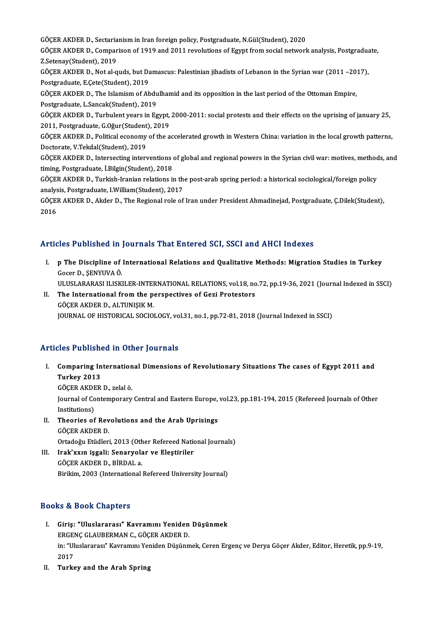GÖÇER AKDER D., Sectarianism in Iran foreign policy, Postgraduate, N.Gül(Student), 2020 GÖÇER AKDER D., Sectarianism in Iran foreign policy, Postgraduate, N.Gül(Student), 2020<br>GÖÇER AKDER D., Comparison of 1919 and 2011 revolutions of Egypt from social network analysis, Postgraduate,<br>Z Setenev(Student), 2019 GÖÇER AKDER D., Sectaria<br>GÖÇER AKDER D., Compar<br>Z.Setenay(Student), 2019<br>GÖCER AKDER D. Not al G GÖÇER AKDER D., Comparison of 1919 and 2011 revolutions of Egypt from social network analysis, Postgradua<br>Z.Setenay(Student), 2019<br>GÖÇER AKDER D., Not al-quds, but Damascus: Palestinian jihadists of Lebanon in the Syrian w Z.Setenay(Student), 2019<br>GÖÇER AKDER D., Not al-quds, but Da<br>Postgraduate, E.Çete(Student), 2019<br>GÖCER AKDER D., The Jelamism of Ab GÖÇER AKDER D., Not al-quds, but Damascus: Palestinian jihadists of Lebanon in the Syrian war (2011 –20)<br>Postgraduate, E.Çete(Student), 2019<br>GÖÇER AKDER D., The Islamism of Abdulhamid and its opposition in the last period Postgraduate, E.Çete(Student), 2019<br>GÖÇER AKDER D., The Islamism of Abdulhamid and its opposition in the last period of the Ottoman Empire,<br>Postgraduate, L.Sancak(Student), 2019 GÖÇER AKDER D., The Islamism of Abdulhamid and its opposition in the last period of the Ottoman Empire,<br>Postgraduate, L.Sancak(Student), 2019<br>GÖÇER AKDER D., Turbulent years in Egypt, 2000-2011: social protests and their e Postgraduate, L.Sancak(Student), 2019<br>GÖÇER AKDER D., Turbulent years in Egypt,<br>2011, Postgraduate, G.Oğur(Student), 2019<br>GÖCER AKDER D. Bolitical sconomy of the 2 GÖÇER AKDER D., Turbulent years in Egypt, 2000-2011: social protests and their effects on the uprising of january 25,<br>2011, Postgraduate, G.Oğur(Student), 2019<br>GÖÇER AKDER D., Political economy of the accelerated growth in 2011, Postgraduate, G.Oğur (Student)<br>GÖÇER AKDER D., Political economy<br>Doctorate, V.Tekdal(Student), 2019<br>GÖCER AKDER D., Intersesting intern GÖÇER AKDER D., Political economy of the accelerated growth in Western China: variation in the local growth patterns,<br>Doctorate, V.Tekdal(Student), 2019<br>GÖÇER AKDER D., Intersecting interventions of global and regional pow Doctorate, V.Tekdal(Student), 2019<br>GÖÇER AKDER D., Intersecting interventions of global and regional powers in the Syrian civil war: motives, methods, and<br>timing, Postgraduate, İ.Bilgin(Student), 2018 GÖÇER AKDER D., Intersecting interventions of global and regional powers in the Syrian civil war: motives, method<br>timing, Postgraduate, İ.Bilgin(Student), 2018<br>GÖÇER AKDER D., Turkish-Iranian relations in the post-arab spr timing, Postgraduate, İ.Bilgin(Student), 2018<br>GÖÇER AKDER D., Turkish-Iranian relations in th<br>analysis, Postgraduate, I.William(Student), 2017<br>GÖÇER AKDER D. Akder D. The Besienal rela of GÖÇER AKDER D., Turkish-Iranian relations in the post-arab spring period: a historical sociological/foreign policy<br>analysis, Postgraduate, I.William(Student), 2017<br>GÖÇER AKDER D., Akder D., The Regional role of Iran under analysis, Postgraduate, I.William(Student), 2017<br>GÖÇER AKDER D., Akder D., The Regional role of Iran under President Ahmadinejad, Postgraduate, Ç.Dilek(Student),<br>2016

## Articles Published in Journals That Entered SCI, SSCI and AHCI Indexes

- rticles Published in Journals That Entered SCI, SSCI and AHCI Indexes<br>I. p The Discipline of International Relations and Qualitative Methods: Migration Studies in Turkey<br>Coger D. SENVIIVA Ö **p The Discipline of<br>Gocer D., ŞENYUVA Ö.<br>ULUSI ARARASI U ISK** p The Discipline of International Relations and Qualitative Methods: Migration Studies in Turkey<br>Gocer D., ŞENYUVA Ö.<br>ULUSLARARASI ILISKILER-INTERNATIONAL RELATIONS, vol.18, no.72, pp.19-36, 2021 (Journal Indexed in SSCI)<br> Gocer D., ŞENYUVA Ö.<br>ULUSLARARASI ILISKILER-INTERNATIONAL RELATIONS, vol.18, no<br>II. The International from the perspectives of Gezi Protestors<br>CÖCER AKRER D. ALTINISIK M
- ULUSLARARASI ILISKILER-INTEI<br>The International from the p<br>GÖÇER AKDER D., ALTUNIŞIK M.<br>JOUPNAL OF HISTOPICAL SOCIO II. The International from the perspectives of Gezi Protestors<br>GÖÇER AKDER D., ALTUNIŞIK M.<br>JOURNAL OF HISTORICAL SOCIOLOGY, vol.31, no.1, pp.72-81, 2018 (Journal Indexed in SSCI)

## Articles Published in Other Journals

rticles Published in Other Journals<br>I. Comparing International Dimensions of Revolutionary Situations The cases of Egypt 2011 and<br>Turkey 2013 Turkey 2013<br>Turkey 2013<br>CÖCEP AKDEP Comparing Internation<br>Turkey 2013<br>GÖÇER AKDER D., zelal ö.<br>Journal of Contemponenu

GÖÇER AKDER D., zelal ö.

Turkey 2013<br>GÖÇER AKDER D., zelal ö.<br>Journal of Contemporary Central and Eastern Europe, vol.23, pp.181-194, 2015 (Refereed Journals of Other<br>Institutions) Journal of Contemporary Central and Eastern Europe,<br>Institutions)<br>II. Theories of Revolutions and the Arab Uprisings<br>CÖCER AKDER D

- Institutions)<br>Theories of Rev<br>GÖÇER AKDER D.<br>Ortadoğu Etüdleri Theories of Revolutions and the Arab Uprisings<br>GÖÇER AKDER D.<br>Ortadoğu Etüdleri, 2013 (Other Refereed National Journals)<br>Inak'yyın isgali: Sanaxyalar ve Electiriler
- GÖÇER AKDER D.<br>Ortadoğu Etüdleri, 2013 (Other Refereed National<br>III. Irak'xxın işgali: Senaryolar ve Eleştiriler<br>GÖÇEP AKDER R. BİRDALA Ortadoğu Etüdleri, 2013 (Oth<br>Irak'xxın işgali: Senaryola<br>GÖÇER AKDER D., BİRDAL a.<br>Birildim 2002 (International

GÖÇER AKDER D., BİRDAL a.<br>Birikim, 2003 (International Refereed University Journal)

## Books&Book Chapters

- ooks & Book Chapters<br>I. Giriş: "Uluslararası" Kavramını Yeniden Düşünmek<br>ERCENG GLAURERMAN G. GÖGER AKRER D. to & Book Ghapters<br>Giriş: "Uluslararası" Kavramını Yeniden<br>ERGENÇ GLAUBERMAN C., GÖÇER AKDER D. in: "Uluslararası" Kavramını Yeniden Düşünmek, Ceren Ergenç ve Derya Göçer Akder, Editor, Heretik, pp.9-19,<br>2017 ERGENÇ GLAUBERMAN C., GÖÇER AKDER D.
- II. Turkey and the Arab Spring